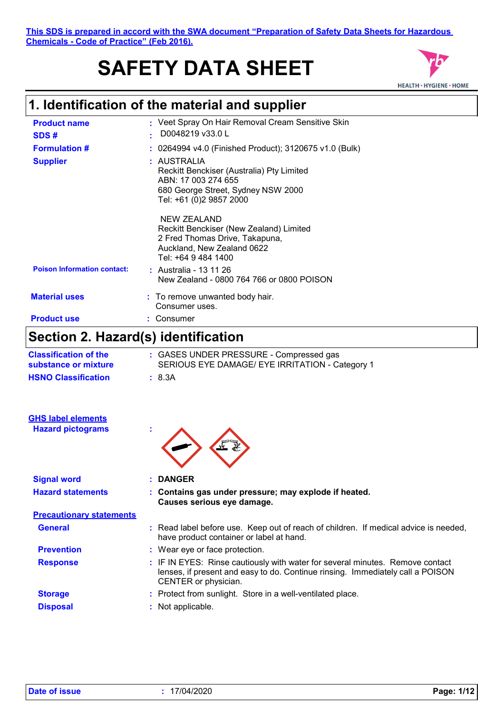#### **This SDS is prepared in accord with the SWA document "Preparation of Safety Data Sheets for Hazardous Chemicals - Code of Practice" (Feb 2016).**

# **SAFETY DATA SHEET**



# **1. Identification of the material and supplier**

| <b>Product name</b><br>SDS#        |    | : Veet Spray On Hair Removal Cream Sensitive Skin<br>D0048219 v33.0 L                                                                            |
|------------------------------------|----|--------------------------------------------------------------------------------------------------------------------------------------------------|
| <b>Formulation #</b>               | t. | 0264994 v4.0 (Finished Product); 3120675 v1.0 (Bulk)                                                                                             |
| <b>Supplier</b>                    |    | : AUSTRALIA<br>Reckitt Benckiser (Australia) Pty Limited<br>ABN: 17 003 274 655<br>680 George Street, Sydney NSW 2000<br>Tel: +61 (0)2 9857 2000 |
|                                    |    | NEW ZEALAND<br>Reckitt Benckiser (New Zealand) Limited<br>2 Fred Thomas Drive, Takapuna,<br>Auckland, New Zealand 0622<br>Tel: +64 9 484 1400    |
| <b>Poison Information contact:</b> |    | : Australia - 13 11 26<br>New Zealand - 0800 764 766 or 0800 POISON                                                                              |
| <b>Material uses</b>               |    | : To remove unwanted body hair.<br>Consumer uses.                                                                                                |
| <b>Product use</b>                 |    | Consumer                                                                                                                                         |

# **Section 2. Hazard(s) identification**

| <b>Classification of the</b><br>substance or mixture | : GASES UNDER PRESSURE - Compressed gas<br>SERIOUS EYE DAMAGE/ EYE IRRITATION - Category 1                                                                                              |
|------------------------------------------------------|-----------------------------------------------------------------------------------------------------------------------------------------------------------------------------------------|
| <b>HSNO Classification</b>                           | : 8.3A                                                                                                                                                                                  |
| <b>GHS label elements</b>                            |                                                                                                                                                                                         |
| <b>Hazard pictograms</b>                             |                                                                                                                                                                                         |
| <b>Signal word</b>                                   | : DANGER                                                                                                                                                                                |
| <b>Hazard statements</b>                             | : Contains gas under pressure; may explode if heated.<br>Causes serious eye damage.                                                                                                     |
| <b>Precautionary statements</b>                      |                                                                                                                                                                                         |
| <b>General</b>                                       | : Read label before use. Keep out of reach of children. If medical advice is needed,<br>have product container or label at hand.                                                        |
| <b>Prevention</b>                                    | : Wear eye or face protection.                                                                                                                                                          |
| <b>Response</b>                                      | : IF IN EYES: Rinse cautiously with water for several minutes. Remove contact<br>lenses, if present and easy to do. Continue rinsing. Immediately call a POISON<br>CENTER or physician. |
| <b>Storage</b>                                       | : Protect from sunlight. Store in a well-ventilated place.                                                                                                                              |
| <b>Disposal</b>                                      | : Not applicable.                                                                                                                                                                       |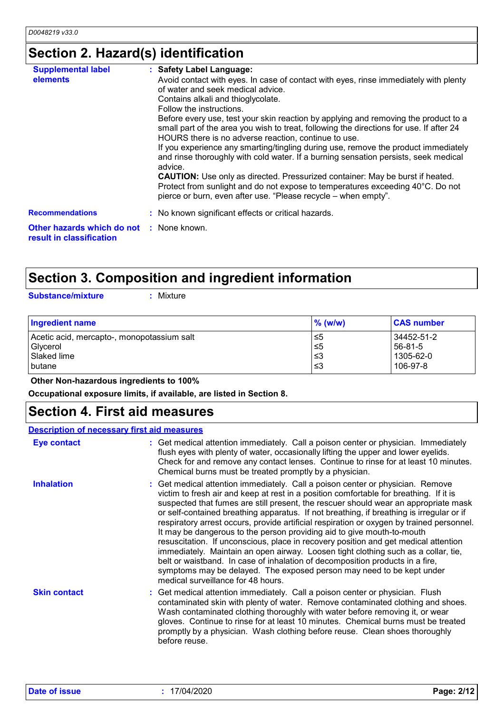# **Section 2. Hazard(s) identification**

| <b>Supplemental label</b><br>: Safety Label Language:<br>elements<br>Avoid contact with eyes. In case of contact with eyes, rinse immediately with plenty<br>of water and seek medical advice.<br>Contains alkali and thioglycolate.<br>Follow the instructions.<br>Before every use, test your skin reaction by applying and removing the product to a<br>small part of the area you wish to treat, following the directions for use. If after 24<br>HOURS there is no adverse reaction, continue to use.<br>If you experience any smarting/tingling during use, remove the product immediately<br>and rinse thoroughly with cold water. If a burning sensation persists, seek medical<br>advice.<br><b>CAUTION:</b> Use only as directed. Pressurized container: May be burst if heated.<br>Protect from sunlight and do not expose to temperatures exceeding 40°C. Do not<br>pierce or burn, even after use. "Please recycle – when empty".<br><b>Recommendations</b><br>: No known significant effects or critical hazards.<br><b>Other hazards which do not : None known.</b><br>result in classification |  |
|----------------------------------------------------------------------------------------------------------------------------------------------------------------------------------------------------------------------------------------------------------------------------------------------------------------------------------------------------------------------------------------------------------------------------------------------------------------------------------------------------------------------------------------------------------------------------------------------------------------------------------------------------------------------------------------------------------------------------------------------------------------------------------------------------------------------------------------------------------------------------------------------------------------------------------------------------------------------------------------------------------------------------------------------------------------------------------------------------------------|--|
|                                                                                                                                                                                                                                                                                                                                                                                                                                                                                                                                                                                                                                                                                                                                                                                                                                                                                                                                                                                                                                                                                                                |  |
|                                                                                                                                                                                                                                                                                                                                                                                                                                                                                                                                                                                                                                                                                                                                                                                                                                                                                                                                                                                                                                                                                                                |  |
|                                                                                                                                                                                                                                                                                                                                                                                                                                                                                                                                                                                                                                                                                                                                                                                                                                                                                                                                                                                                                                                                                                                |  |

# **Section 3. Composition and ingredient information**

**Substance/mixture :**

: Mixture

| <b>Ingredient name</b>                     | $%$ (w/w) | <b>CAS number</b> |
|--------------------------------------------|-----------|-------------------|
| Acetic acid, mercapto-, monopotassium salt | ≤5        | 34452-51-2        |
| Glycerol                                   | $\leq 5$  | 56-81-5           |
| Slaked lime                                | ՝≤3       | 1305-62-0         |
| <b>butane</b>                              | ՝≤3       | 106-97-8          |

#### **Other Non-hazardous ingredients to 100%**

**Occupational exposure limits, if available, are listed in Section 8.**

### **Section 4. First aid measures**

| <b>Description of necessary first aid measures</b> |                                                                                                                                                                                                                                                                                                                                                                                                                                                                                                                                                                                                                                                                                                                                                                                                                                                                                                                 |
|----------------------------------------------------|-----------------------------------------------------------------------------------------------------------------------------------------------------------------------------------------------------------------------------------------------------------------------------------------------------------------------------------------------------------------------------------------------------------------------------------------------------------------------------------------------------------------------------------------------------------------------------------------------------------------------------------------------------------------------------------------------------------------------------------------------------------------------------------------------------------------------------------------------------------------------------------------------------------------|
| Eye contact                                        | : Get medical attention immediately. Call a poison center or physician. Immediately<br>flush eyes with plenty of water, occasionally lifting the upper and lower eyelids.<br>Check for and remove any contact lenses. Continue to rinse for at least 10 minutes.<br>Chemical burns must be treated promptly by a physician.                                                                                                                                                                                                                                                                                                                                                                                                                                                                                                                                                                                     |
| <b>Inhalation</b>                                  | : Get medical attention immediately. Call a poison center or physician. Remove<br>victim to fresh air and keep at rest in a position comfortable for breathing. If it is<br>suspected that fumes are still present, the rescuer should wear an appropriate mask<br>or self-contained breathing apparatus. If not breathing, if breathing is irregular or if<br>respiratory arrest occurs, provide artificial respiration or oxygen by trained personnel.<br>It may be dangerous to the person providing aid to give mouth-to-mouth<br>resuscitation. If unconscious, place in recovery position and get medical attention<br>immediately. Maintain an open airway. Loosen tight clothing such as a collar, tie,<br>belt or waistband. In case of inhalation of decomposition products in a fire,<br>symptoms may be delayed. The exposed person may need to be kept under<br>medical surveillance for 48 hours. |
| <b>Skin contact</b>                                | : Get medical attention immediately. Call a poison center or physician. Flush<br>contaminated skin with plenty of water. Remove contaminated clothing and shoes.<br>Wash contaminated clothing thoroughly with water before removing it, or wear<br>gloves. Continue to rinse for at least 10 minutes. Chemical burns must be treated<br>promptly by a physician. Wash clothing before reuse. Clean shoes thoroughly<br>before reuse.                                                                                                                                                                                                                                                                                                                                                                                                                                                                           |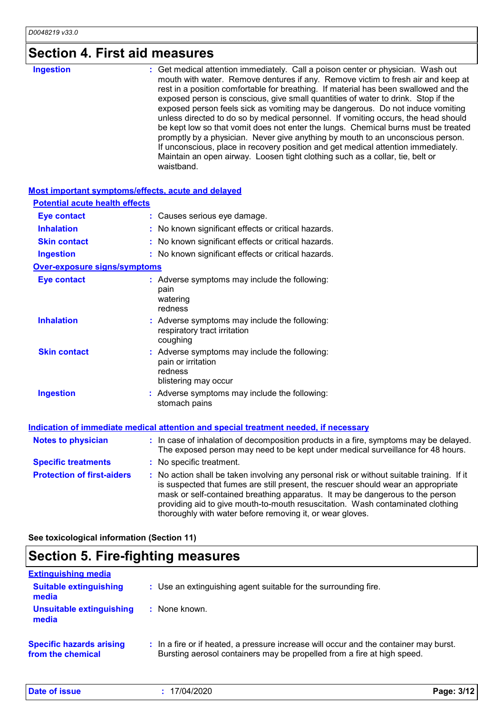# **Section 4. First aid measures**

#### **Most important symptoms/effects, acute and delayed**

| <b>Potential acute health effects</b> |                                                                                                                                                                                                                                                                                                                                                                                                                 |
|---------------------------------------|-----------------------------------------------------------------------------------------------------------------------------------------------------------------------------------------------------------------------------------------------------------------------------------------------------------------------------------------------------------------------------------------------------------------|
| <b>Eye contact</b>                    | : Causes serious eye damage.                                                                                                                                                                                                                                                                                                                                                                                    |
| <b>Inhalation</b>                     | : No known significant effects or critical hazards.                                                                                                                                                                                                                                                                                                                                                             |
| <b>Skin contact</b>                   | : No known significant effects or critical hazards.                                                                                                                                                                                                                                                                                                                                                             |
| <b>Ingestion</b>                      | : No known significant effects or critical hazards.                                                                                                                                                                                                                                                                                                                                                             |
| <b>Over-exposure signs/symptoms</b>   |                                                                                                                                                                                                                                                                                                                                                                                                                 |
| <b>Eye contact</b>                    | : Adverse symptoms may include the following:<br>pain<br>watering<br>redness                                                                                                                                                                                                                                                                                                                                    |
| <b>Inhalation</b>                     | : Adverse symptoms may include the following:<br>respiratory tract irritation<br>coughing                                                                                                                                                                                                                                                                                                                       |
| <b>Skin contact</b>                   | : Adverse symptoms may include the following:<br>pain or irritation<br>redness<br>blistering may occur                                                                                                                                                                                                                                                                                                          |
| <b>Ingestion</b>                      | Adverse symptoms may include the following:<br>stomach pains                                                                                                                                                                                                                                                                                                                                                    |
|                                       | Indication of immediate medical attention and special treatment needed, if necessary                                                                                                                                                                                                                                                                                                                            |
| <b>Notes to physician</b>             | : In case of inhalation of decomposition products in a fire, symptoms may be delayed.<br>The exposed person may need to be kept under medical surveillance for 48 hours.                                                                                                                                                                                                                                        |
| <b>Specific treatments</b>            | : No specific treatment.                                                                                                                                                                                                                                                                                                                                                                                        |
| <b>Protection of first-aiders</b>     | : No action shall be taken involving any personal risk or without suitable training. If it<br>is suspected that fumes are still present, the rescuer should wear an appropriate<br>mask or self-contained breathing apparatus. It may be dangerous to the person<br>providing aid to give mouth-to-mouth resuscitation. Wash contaminated clothing<br>thoroughly with water before removing it, or wear gloves. |

**See toxicological information (Section 11)**

## **Section 5. Fire-fighting measures**

| <b>Extinguishing media</b>                           |                                                                                                                                                                  |
|------------------------------------------------------|------------------------------------------------------------------------------------------------------------------------------------------------------------------|
| <b>Suitable extinguishing</b><br>media               | : Use an extinguishing agent suitable for the surrounding fire.                                                                                                  |
| Unsuitable extinguishing<br>media                    | : None known.                                                                                                                                                    |
| <b>Specific hazards arising</b><br>from the chemical | : In a fire or if heated, a pressure increase will occur and the container may burst.<br>Bursting aerosol containers may be propelled from a fire at high speed. |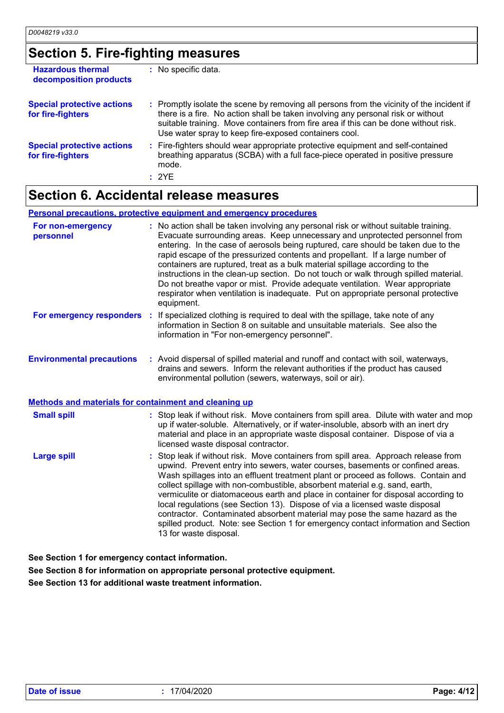## **Section 5. Fire-fighting measures**

| <b>Hazardous thermal</b><br>decomposition products     | : No specific data.                                                                                                                                                                                                                                                                                                           |
|--------------------------------------------------------|-------------------------------------------------------------------------------------------------------------------------------------------------------------------------------------------------------------------------------------------------------------------------------------------------------------------------------|
| <b>Special protective actions</b><br>for fire-fighters | : Promptly isolate the scene by removing all persons from the vicinity of the incident if<br>there is a fire. No action shall be taken involving any personal risk or without<br>suitable training. Move containers from fire area if this can be done without risk.<br>Use water spray to keep fire-exposed containers cool. |
| <b>Special protective actions</b><br>for fire-fighters | : Fire-fighters should wear appropriate protective equipment and self-contained<br>breathing apparatus (SCBA) with a full face-piece operated in positive pressure<br>mode.<br>: 2YE                                                                                                                                          |

### **Section 6. Accidental release measures**

#### **Personal precautions, protective equipment and emergency procedures**

| : No action shall be taken involving any personal risk or without suitable training.<br>Evacuate surrounding areas. Keep unnecessary and unprotected personnel from<br>entering. In the case of aerosols being ruptured, care should be taken due to the<br>rapid escape of the pressurized contents and propellant. If a large number of<br>containers are ruptured, treat as a bulk material spillage according to the<br>instructions in the clean-up section. Do not touch or walk through spilled material.<br>Do not breathe vapor or mist. Provide adequate ventilation. Wear appropriate<br>respirator when ventilation is inadequate. Put on appropriate personal protective<br>equipment. |
|-----------------------------------------------------------------------------------------------------------------------------------------------------------------------------------------------------------------------------------------------------------------------------------------------------------------------------------------------------------------------------------------------------------------------------------------------------------------------------------------------------------------------------------------------------------------------------------------------------------------------------------------------------------------------------------------------------|
| If specialized clothing is required to deal with the spillage, take note of any<br>For emergency responders :<br>information in Section 8 on suitable and unsuitable materials. See also the<br>information in "For non-emergency personnel".                                                                                                                                                                                                                                                                                                                                                                                                                                                       |
| : Avoid dispersal of spilled material and runoff and contact with soil, waterways,<br>drains and sewers. Inform the relevant authorities if the product has caused<br>environmental pollution (sewers, waterways, soil or air).                                                                                                                                                                                                                                                                                                                                                                                                                                                                     |
| <b>Methods and materials for containment and cleaning up</b>                                                                                                                                                                                                                                                                                                                                                                                                                                                                                                                                                                                                                                        |
| : Stop leak if without risk. Move containers from spill area. Dilute with water and mop<br>up if water-soluble. Alternatively, or if water-insoluble, absorb with an inert dry<br>material and place in an appropriate waste disposal container. Dispose of via a<br>licensed waste disposal contractor.                                                                                                                                                                                                                                                                                                                                                                                            |
|                                                                                                                                                                                                                                                                                                                                                                                                                                                                                                                                                                                                                                                                                                     |
|                                                                                                                                                                                                                                                                                                                                                                                                                                                                                                                                                                                                                                                                                                     |

**See Section 1 for emergency contact information.**

**See Section 8 for information on appropriate personal protective equipment.**

**See Section 13 for additional waste treatment information.**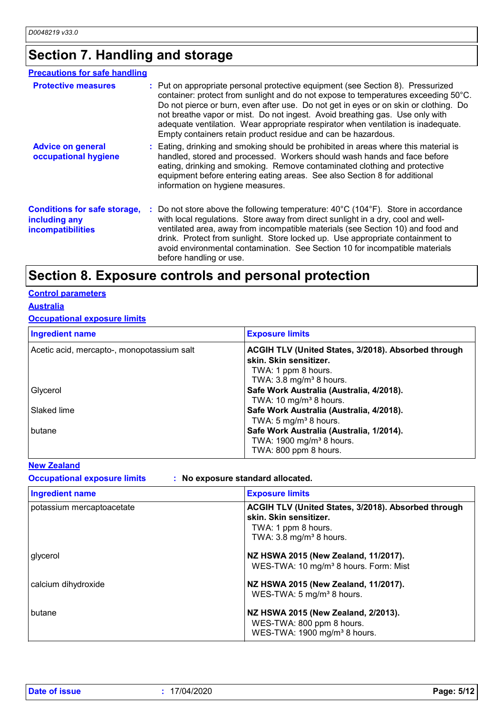# **Section 7. Handling and storage**

| <b>Precautions for safe handling</b>                                             |                                                                                                                                                                                                                                                                                                                                                                                                                                                                                                     |
|----------------------------------------------------------------------------------|-----------------------------------------------------------------------------------------------------------------------------------------------------------------------------------------------------------------------------------------------------------------------------------------------------------------------------------------------------------------------------------------------------------------------------------------------------------------------------------------------------|
| <b>Protective measures</b>                                                       | : Put on appropriate personal protective equipment (see Section 8). Pressurized<br>container: protect from sunlight and do not expose to temperatures exceeding 50°C.<br>Do not pierce or burn, even after use. Do not get in eyes or on skin or clothing. Do<br>not breathe vapor or mist. Do not ingest. Avoid breathing gas. Use only with<br>adequate ventilation. Wear appropriate respirator when ventilation is inadequate.<br>Empty containers retain product residue and can be hazardous. |
| <b>Advice on general</b><br>occupational hygiene                                 | : Eating, drinking and smoking should be prohibited in areas where this material is<br>handled, stored and processed. Workers should wash hands and face before<br>eating, drinking and smoking. Remove contaminated clothing and protective<br>equipment before entering eating areas. See also Section 8 for additional<br>information on hygiene measures.                                                                                                                                       |
| <b>Conditions for safe storage,</b><br>including any<br><b>incompatibilities</b> | : Do not store above the following temperature: $40^{\circ}$ C (104 $^{\circ}$ F). Store in accordance<br>with local regulations. Store away from direct sunlight in a dry, cool and well-<br>ventilated area, away from incompatible materials (see Section 10) and food and<br>drink. Protect from sunlight. Store locked up. Use appropriate containment to<br>avoid environmental contamination. See Section 10 for incompatible materials<br>before handling or use.                           |

### **Section 8. Exposure controls and personal protection**

### **Control parameters**

### **Australia**

#### **Occupational exposure limits**

| <b>Ingredient name</b>                     | <b>Exposure limits</b>                              |
|--------------------------------------------|-----------------------------------------------------|
| Acetic acid, mercapto-, monopotassium salt | ACGIH TLV (United States, 3/2018). Absorbed through |
|                                            | skin. Skin sensitizer.                              |
|                                            | TWA: 1 ppm 8 hours.                                 |
|                                            | TWA: 3.8 mg/m <sup>3</sup> 8 hours.                 |
| Glycerol                                   | Safe Work Australia (Australia, 4/2018).            |
|                                            | TWA: 10 mg/m <sup>3</sup> 8 hours.                  |
| Slaked lime                                | Safe Work Australia (Australia, 4/2018).            |
|                                            | TWA: 5 mg/m <sup>3</sup> 8 hours.                   |
| butane                                     | Safe Work Australia (Australia, 1/2014).            |
|                                            | TWA: 1900 mg/m <sup>3</sup> 8 hours.                |
|                                            | TWA: 800 ppm 8 hours.                               |

#### **New Zealand**

**Occupational exposure limits : No exposure standard allocated.**

| Ingredient name           | <b>Exposure limits</b>                                                                                                                     |
|---------------------------|--------------------------------------------------------------------------------------------------------------------------------------------|
| potassium mercaptoacetate | ACGIH TLV (United States, 3/2018). Absorbed through<br>skin. Skin sensitizer.<br>TWA: 1 ppm 8 hours.<br>TWA: $3.8 \text{ mg/m}^3$ 8 hours. |
| glycerol                  | NZ HSWA 2015 (New Zealand, 11/2017).<br>WES-TWA: 10 mg/m <sup>3</sup> 8 hours. Form: Mist                                                  |
| calcium dihydroxide       | NZ HSWA 2015 (New Zealand, 11/2017).<br>WES-TWA: 5 mg/m <sup>3</sup> 8 hours.                                                              |
| butane                    | NZ HSWA 2015 (New Zealand, 2/2013).<br>WES-TWA: 800 ppm 8 hours.<br>WES-TWA: 1900 mg/m <sup>3</sup> 8 hours.                               |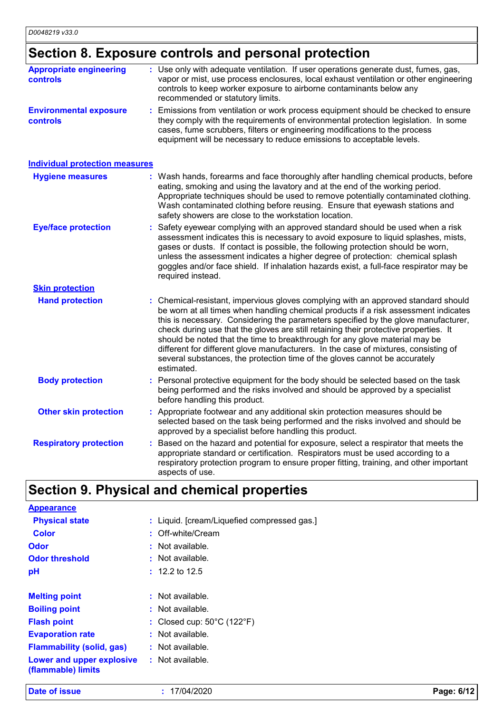# **Section 8. Exposure controls and personal protection**

| <b>Appropriate engineering</b><br><b>controls</b> | : Use only with adequate ventilation. If user operations generate dust, fumes, gas,<br>vapor or mist, use process enclosures, local exhaust ventilation or other engineering<br>controls to keep worker exposure to airborne contaminants below any<br>recommended or statutory limits.                                                                                                                                                                                                                                                                                                                                   |
|---------------------------------------------------|---------------------------------------------------------------------------------------------------------------------------------------------------------------------------------------------------------------------------------------------------------------------------------------------------------------------------------------------------------------------------------------------------------------------------------------------------------------------------------------------------------------------------------------------------------------------------------------------------------------------------|
| <b>Environmental exposure</b><br><b>controls</b>  | : Emissions from ventilation or work process equipment should be checked to ensure<br>they comply with the requirements of environmental protection legislation. In some<br>cases, fume scrubbers, filters or engineering modifications to the process<br>equipment will be necessary to reduce emissions to acceptable levels.                                                                                                                                                                                                                                                                                           |
| <b>Individual protection measures</b>             |                                                                                                                                                                                                                                                                                                                                                                                                                                                                                                                                                                                                                           |
| <b>Hygiene measures</b>                           | : Wash hands, forearms and face thoroughly after handling chemical products, before<br>eating, smoking and using the lavatory and at the end of the working period.<br>Appropriate techniques should be used to remove potentially contaminated clothing.<br>Wash contaminated clothing before reusing. Ensure that eyewash stations and<br>safety showers are close to the workstation location.                                                                                                                                                                                                                         |
| <b>Eye/face protection</b>                        | Safety eyewear complying with an approved standard should be used when a risk<br>assessment indicates this is necessary to avoid exposure to liquid splashes, mists,<br>gases or dusts. If contact is possible, the following protection should be worn,<br>unless the assessment indicates a higher degree of protection: chemical splash<br>goggles and/or face shield. If inhalation hazards exist, a full-face respirator may be<br>required instead.                                                                                                                                                                 |
| <b>Skin protection</b>                            |                                                                                                                                                                                                                                                                                                                                                                                                                                                                                                                                                                                                                           |
| <b>Hand protection</b>                            | : Chemical-resistant, impervious gloves complying with an approved standard should<br>be worn at all times when handling chemical products if a risk assessment indicates<br>this is necessary. Considering the parameters specified by the glove manufacturer,<br>check during use that the gloves are still retaining their protective properties. It<br>should be noted that the time to breakthrough for any glove material may be<br>different for different glove manufacturers. In the case of mixtures, consisting of<br>several substances, the protection time of the gloves cannot be accurately<br>estimated. |
| <b>Body protection</b>                            | Personal protective equipment for the body should be selected based on the task<br>being performed and the risks involved and should be approved by a specialist<br>before handling this product.                                                                                                                                                                                                                                                                                                                                                                                                                         |
| <b>Other skin protection</b>                      | : Appropriate footwear and any additional skin protection measures should be<br>selected based on the task being performed and the risks involved and should be<br>approved by a specialist before handling this product.                                                                                                                                                                                                                                                                                                                                                                                                 |
| <b>Respiratory protection</b>                     | Based on the hazard and potential for exposure, select a respirator that meets the<br>appropriate standard or certification. Respirators must be used according to a<br>respiratory protection program to ensure proper fitting, training, and other important<br>aspects of use.                                                                                                                                                                                                                                                                                                                                         |

# **Section 9. Physical and chemical properties**

| <b>Appearance</b>                               |                                                 |
|-------------------------------------------------|-------------------------------------------------|
| <b>Physical state</b>                           | : Liquid. [cream/Liquefied compressed gas.]     |
| <b>Color</b>                                    | $:$ Off-white/Cream                             |
| <b>Odor</b>                                     | : Not available.                                |
| <b>Odor threshold</b>                           | : Not available.                                |
| pH                                              | $: 12.2$ to 12.5                                |
|                                                 |                                                 |
| <b>Melting point</b>                            | : Not available.                                |
| <b>Boiling point</b>                            | : Not available.                                |
| <b>Flash point</b>                              | : Closed cup: $50^{\circ}$ C (122 $^{\circ}$ F) |
| <b>Evaporation rate</b>                         | : Not available.                                |
| <b>Flammability (solid, gas)</b>                | : Not available.                                |
| Lower and upper explosive<br>(flammable) limits | : Not available.                                |
|                                                 |                                                 |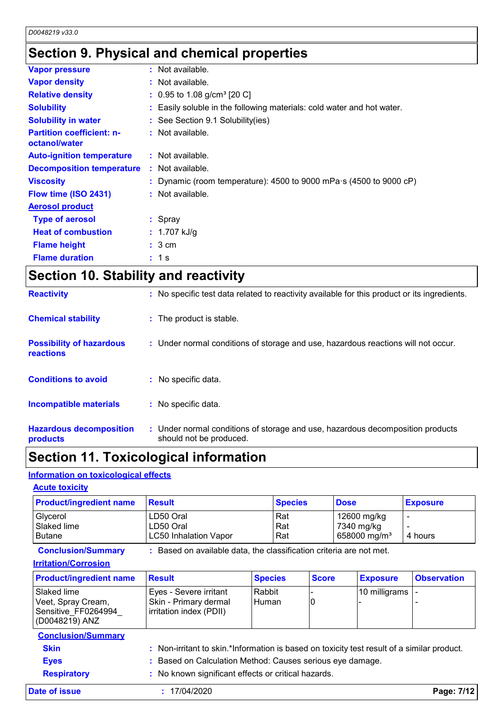### **Section 9. Physical and chemical properties**

| <b>Vapor pressure</b>                             | $:$ Not available.                                                         |
|---------------------------------------------------|----------------------------------------------------------------------------|
| <b>Vapor density</b>                              | $:$ Not available.                                                         |
| <b>Relative density</b>                           | $: 0.95$ to 1.08 g/cm <sup>3</sup> [20 C]                                  |
| <b>Solubility</b>                                 | : Easily soluble in the following materials: cold water and hot water.     |
| <b>Solubility in water</b>                        | : See Section 9.1 Solubility(ies)                                          |
| <b>Partition coefficient: n-</b><br>octanol/water | : Not available.                                                           |
| <b>Auto-ignition temperature</b>                  | $:$ Not available.                                                         |
| <b>Decomposition temperature</b>                  | $:$ Not available.                                                         |
| <b>Viscosity</b>                                  | : Dynamic (room temperature): 4500 to 9000 mPa $\cdot$ s (4500 to 9000 cP) |
| Flow time (ISO 2431)                              | : Not available.                                                           |
| <b>Aerosol product</b>                            |                                                                            |
| <b>Type of aerosol</b>                            | $:$ Spray                                                                  |
| <b>Heat of combustion</b>                         | : $1.707$ kJ/g                                                             |
| <b>Flame height</b>                               | : 3 cm                                                                     |
| <b>Flame duration</b>                             | : 1s                                                                       |

|  |  | <b>Section 10. Stability and reactivity</b> |
|--|--|---------------------------------------------|
|--|--|---------------------------------------------|

| <b>Reactivity</b>                            | : No specific test data related to reactivity available for this product or its ingredients.              |
|----------------------------------------------|-----------------------------------------------------------------------------------------------------------|
| <b>Chemical stability</b>                    | : The product is stable.                                                                                  |
| <b>Possibility of hazardous</b><br>reactions | : Under normal conditions of storage and use, hazardous reactions will not occur.                         |
| <b>Conditions to avoid</b>                   | : No specific data.                                                                                       |
| Incompatible materials                       | : No specific data.                                                                                       |
| <b>Hazardous decomposition</b><br>products   | : Under normal conditions of storage and use, hazardous decomposition products<br>should not be produced. |

### **Section 11. Toxicological information**

#### **Information on toxicological effects**

#### **Acute toxicity**

| <b>Product/ingredient name</b> | <u> Result</u>               | <b>Species</b> | <b>Dose</b>              | <b>Exposure</b> |
|--------------------------------|------------------------------|----------------|--------------------------|-----------------|
| Glycerol                       | LD50 Oral                    | Rat            | 12600 mg/kg              |                 |
| Slaked lime                    | LD50 Oral                    | Rat            | 7340 mg/kg               |                 |
| <b>Butane</b>                  | <b>LC50 Inhalation Vapor</b> | Rat            | 658000 mg/m <sup>3</sup> | 4 hours         |

**Conclusion/Summary :** Based on available data, the classification criteria are not met.

#### **Irritation/Corrosion**

| Rabbit<br> 10 milligrams   -<br>Eyes - Severe irritant<br>Skin - Primary dermal<br><b>Human</b><br>IC<br>irritation index (PDII) | <b>Product/ingredient name</b>                                              | <b>Result</b> | <b>Species</b> | <b>Score</b> | <b>Exposure</b> | <b>Observation</b> |
|----------------------------------------------------------------------------------------------------------------------------------|-----------------------------------------------------------------------------|---------------|----------------|--------------|-----------------|--------------------|
|                                                                                                                                  | Slaked lime<br>Veet, Spray Cream,<br>Sensitive FF0264994<br> (D0048219) ANZ |               |                |              |                 |                    |

# **Conclusion/Summary**

**Skin :** Non-irritant to skin.\*Information is based on toxicity test result of a similar product.

- **Eyes :** Based on Calculation Method: Causes serious eye damage.
- **Respiratory :** No known significant effects or critical hazards.

**Date of issue :** 17/04/2020 **Page: 7/12**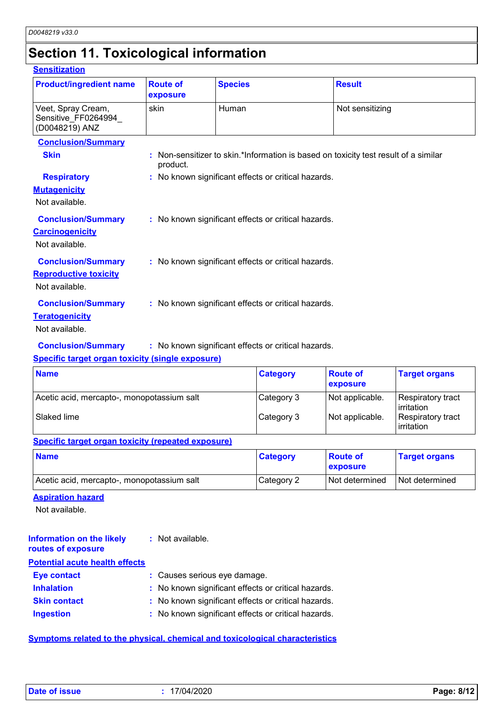# **Section 11. Toxicological information**

#### **Sensitization**

| <b>Product/ingredient name</b>                                              | <b>Route of</b><br>exposure | <b>Species</b>                                      | <b>Result</b>                                                                     |
|-----------------------------------------------------------------------------|-----------------------------|-----------------------------------------------------|-----------------------------------------------------------------------------------|
| Veet, Spray Cream,<br>Sensitive_FF0264994_<br>(D0048219) ANZ                | skin                        | Human                                               | Not sensitizing                                                                   |
| <b>Conclusion/Summary</b>                                                   |                             |                                                     |                                                                                   |
| <b>Skin</b>                                                                 | product.                    |                                                     | Non-sensitizer to skin.*Information is based on toxicity test result of a similar |
| <b>Respiratory</b><br><b>Mutagenicity</b><br>Not available.                 |                             | : No known significant effects or critical hazards. |                                                                                   |
| <b>Conclusion/Summary</b><br><b>Carcinogenicity</b><br>Not available.       |                             | : No known significant effects or critical hazards. |                                                                                   |
| <b>Conclusion/Summary</b><br><b>Reproductive toxicity</b><br>Not available. |                             | : No known significant effects or critical hazards. |                                                                                   |
| <b>Conclusion/Summary</b><br><b>Teratogenicity</b><br>Not available.        |                             | : No known significant effects or critical hazards. |                                                                                   |
| <b>Conclusion/Summary</b>                                                   |                             | : No known significant effects or critical hazards. |                                                                                   |

#### **Specific target organ toxicity (single exposure)**

| <b>Name</b>                                | <b>Category</b> | <b>Route of</b><br>exposure | <b>Target organs</b>            |
|--------------------------------------------|-----------------|-----------------------------|---------------------------------|
| Acetic acid, mercapto-, monopotassium salt | Category 3      | Not applicable.             | Respiratory tract<br>irritation |
| Slaked lime                                | Category 3      | Not applicable.             | Respiratory tract<br>irritation |

#### **Specific target organ toxicity (repeated exposure)**

| <b>Name</b>                                | <b>Category</b> | ∣ Route of<br><b>Exposure</b> | <b>Target organs</b> |
|--------------------------------------------|-----------------|-------------------------------|----------------------|
| Acetic acid, mercapto-, monopotassium salt | Category 2      | l Not determined              | Not determined       |

#### **Aspiration hazard**

Not available.

| Information on the likely<br>routes of exposure | : Not available.                                    |
|-------------------------------------------------|-----------------------------------------------------|
| <b>Potential acute health effects</b>           |                                                     |
| <b>Eye contact</b>                              | : Causes serious eye damage.                        |
| <b>Inhalation</b>                               | : No known significant effects or critical hazards. |
| <b>Skin contact</b>                             | : No known significant effects or critical hazards. |
| <b>Ingestion</b>                                | : No known significant effects or critical hazards. |

#### **Symptoms related to the physical, chemical and toxicological characteristics**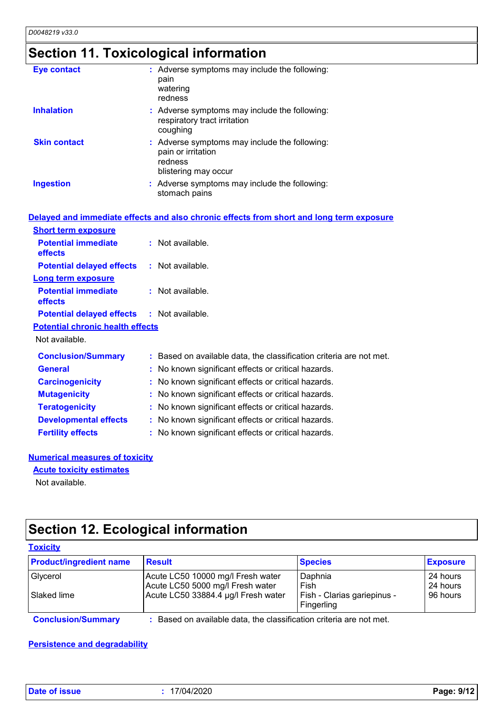# **Section 11. Toxicological information**

| <b>Eye contact</b>  | : Adverse symptoms may include the following:<br>pain<br>watering<br>redness                           |
|---------------------|--------------------------------------------------------------------------------------------------------|
| <b>Inhalation</b>   | : Adverse symptoms may include the following:<br>respiratory tract irritation<br>coughing              |
| <b>Skin contact</b> | : Adverse symptoms may include the following:<br>pain or irritation<br>redness<br>blistering may occur |
| <b>Ingestion</b>    | : Adverse symptoms may include the following:<br>stomach pains                                         |

| Delayed and immediate effects and also chronic effects from short and long term exposure |                                                                     |  |  |
|------------------------------------------------------------------------------------------|---------------------------------------------------------------------|--|--|
| <b>Short term exposure</b>                                                               |                                                                     |  |  |
| <b>Potential immediate</b><br><b>effects</b>                                             | $:$ Not available.                                                  |  |  |
| <b>Potential delayed effects : Not available.</b>                                        |                                                                     |  |  |
| <b>Long term exposure</b>                                                                |                                                                     |  |  |
| <b>Potential immediate</b><br>effects                                                    | $:$ Not available.                                                  |  |  |
| <b>Potential delayed effects : Not available.</b>                                        |                                                                     |  |  |
| <b>Potential chronic health effects</b>                                                  |                                                                     |  |  |
| Not available.                                                                           |                                                                     |  |  |
| <b>Conclusion/Summary</b>                                                                | : Based on available data, the classification criteria are not met. |  |  |
| <b>General</b>                                                                           | : No known significant effects or critical hazards.                 |  |  |
| <b>Carcinogenicity</b>                                                                   | : No known significant effects or critical hazards.                 |  |  |
| <b>Mutagenicity</b>                                                                      | : No known significant effects or critical hazards.                 |  |  |
| <b>Teratogenicity</b>                                                                    | : No known significant effects or critical hazards.                 |  |  |
| <b>Developmental effects</b>                                                             | : No known significant effects or critical hazards.                 |  |  |
| <b>Fertility effects</b>                                                                 | : No known significant effects or critical hazards.                 |  |  |
|                                                                                          |                                                                     |  |  |

#### **Numerical measures of toxicity**

**Acute toxicity estimates**

Not available.

## **Section 12. Ecological information**

| <b>Product/ingredient name</b> | <b>Result</b>                                                         | <b>Species</b>                            | <b>Exposure</b>      |
|--------------------------------|-----------------------------------------------------------------------|-------------------------------------------|----------------------|
| Glycerol                       | Acute LC50 10000 mg/l Fresh water<br>Acute LC50 5000 mg/l Fresh water | Daphnia<br>Fish                           | 24 hours<br>24 hours |
| Slaked lime                    | Acute LC50 33884.4 µg/l Fresh water                                   | Fish - Clarias gariepinus -<br>Fingerling | 96 hours             |

#### **Persistence and degradability**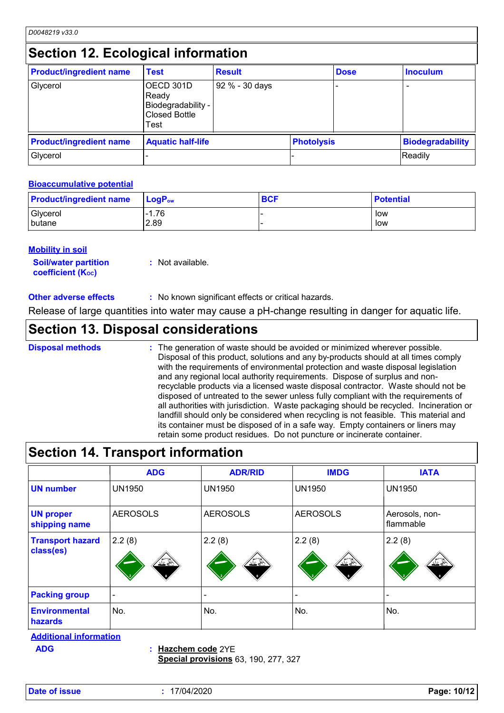### **Section 12. Ecological information**

| <b>Product/ingredient name</b> | <b>Test</b>                                                              | <b>Result</b>  |                   | <b>Dose</b> | <b>Inoculum</b>         |
|--------------------------------|--------------------------------------------------------------------------|----------------|-------------------|-------------|-------------------------|
| Glycerol                       | OECD 301D<br>Ready<br>Biodegradability -<br><b>Closed Bottle</b><br>Test | 92 % - 30 days |                   |             |                         |
| <b>Product/ingredient name</b> | <b>Aquatic half-life</b>                                                 |                | <b>Photolysis</b> |             | <b>Biodegradability</b> |
| Glycerol                       |                                                                          |                |                   |             | Readily                 |

#### **Bioaccumulative potential**

| <b>Product/ingredient name</b> | $\blacksquare$ Log $\mathsf{P}_\mathsf{ow}$ | <b>BCF</b> | <b>Potential</b> |
|--------------------------------|---------------------------------------------|------------|------------------|
| Glycerol                       | $-1.76$                                     |            | low              |
| butane                         | 2.89                                        |            | low              |

#### **Mobility in soil**

| <b>Soil/water partition</b>    | : Not available. |
|--------------------------------|------------------|
| coefficient (K <sub>oc</sub> ) |                  |

**Other adverse effects** : No known significant effects or critical hazards.

Release of large quantities into water may cause a pH-change resulting in danger for aquatic life.

### **Section 13. Disposal considerations**

The generation of waste should be avoided or minimized wherever possible. Disposal of this product, solutions and any by-products should at all times comply with the requirements of environmental protection and waste disposal legislation and any regional local authority requirements. Dispose of surplus and nonrecyclable products via a licensed waste disposal contractor. Waste should not be disposed of untreated to the sewer unless fully compliant with the requirements of all authorities with jurisdiction. Waste packaging should be recycled. Incineration or landfill should only be considered when recycling is not feasible. This material and its container must be disposed of in a safe way. Empty containers or liners may retain some product residues. Do not puncture or incinerate container. **Disposal methods :**

### **Section 14. Transport information**

| <b>ADG</b>                  | <b>ADR/RID</b>         | <b>IMDG</b>           | <b>IATA</b>                 |
|-----------------------------|------------------------|-----------------------|-----------------------------|
| <b>UN1950</b>               | <b>UN1950</b>          | <b>UN1950</b>         | <b>UN1950</b>               |
| <b>AEROSOLS</b>             | <b>AEROSOLS</b>        | <b>AEROSOLS</b>       | Aerosols, non-<br>flammable |
| 2.2(8)<br><u> 47 (f. 18</u> | 2.2(8)<br><u> 17 P</u> | 2.2(8)<br><u> 175</u> | 2.2(8)<br><u> 17 X </u>     |
| $\overline{\phantom{0}}$    |                        |                       |                             |
| No.                         | No.                    | No.                   | No.                         |
|                             |                        |                       |                             |

**Additional information**

**Hazchem code** 2YE **ADG :**

**Special provisions** 63, 190, 277, 327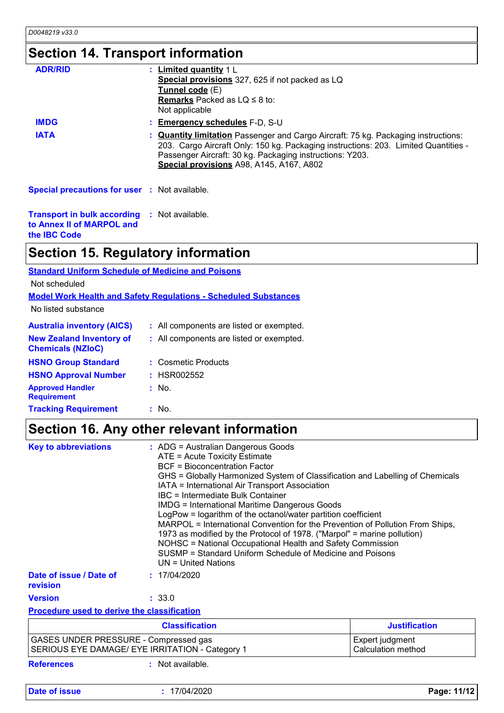## **Section 14. Transport information**

| <b>ADR/RID</b>                                       | <u>: Limited quantity</u> 1 L<br>Special provisions 327, 625 if not packed as LQ<br>Tunnel code (E)<br><b>Remarks</b> Packed as $LQ \leq 8$ to:<br>Not applicable                                                                                                                        |
|------------------------------------------------------|------------------------------------------------------------------------------------------------------------------------------------------------------------------------------------------------------------------------------------------------------------------------------------------|
| <b>IMDG</b>                                          | : Emergency schedules F-D, S-U                                                                                                                                                                                                                                                           |
| <b>IATA</b>                                          | : <b>Quantity limitation</b> Passenger and Cargo Aircraft: 75 kg. Packaging instructions:<br>203. Cargo Aircraft Only: 150 kg. Packaging instructions: 203. Limited Quantities -<br>Passenger Aircraft: 30 kg. Packaging instructions: Y203.<br>Special provisions A98, A145, A167, A802 |
| <b>Special precautions for user : Not available.</b> |                                                                                                                                                                                                                                                                                          |

**Transport in bulk according :** Not available. **to Annex II of MARPOL and the IBC Code**

### **Section 15. Regulatory information**

|  | <b>Standard Uniform Schedule of Medicine and Poisons</b> |
|--|----------------------------------------------------------|
|--|----------------------------------------------------------|

Not scheduled

```
Model Work Health and Safety Regulations - Scheduled Substances
```
No listed substance

| <b>Australia inventory (AICS)</b>                           | : All components are listed or exempted. |
|-------------------------------------------------------------|------------------------------------------|
| <b>New Zealand Inventory of</b><br><b>Chemicals (NZIoC)</b> | : All components are listed or exempted. |
| <b>HSNO Group Standard</b>                                  | : Cosmetic Products                      |
| <b>HSNO Approval Number</b>                                 | : HSR002552                              |
| <b>Approved Handler</b><br><b>Requirement</b>               | $:$ No.                                  |
| <b>Tracking Requirement</b>                                 | : No.                                    |

### **Section 16. Any other relevant information**

| <b>Key to abbreviations</b><br>: ADG = Australian Dangerous Goods<br>ATE = Acute Toxicity Estimate<br><b>BCF</b> = Bioconcentration Factor<br>GHS = Globally Harmonized System of Classification and Labelling of Chemicals<br>IATA = International Air Transport Association<br>IBC = Intermediate Bulk Container<br><b>IMDG = International Maritime Dangerous Goods</b><br>LogPow = logarithm of the octanol/water partition coefficient<br>MARPOL = International Convention for the Prevention of Pollution From Ships,<br>1973 as modified by the Protocol of 1978. ("Marpol" = marine pollution)<br>NOHSC = National Occupational Health and Safety Commission<br>SUSMP = Standard Uniform Schedule of Medicine and Poisons<br>$UN = United Nations$ |                       |                                              |
|-------------------------------------------------------------------------------------------------------------------------------------------------------------------------------------------------------------------------------------------------------------------------------------------------------------------------------------------------------------------------------------------------------------------------------------------------------------------------------------------------------------------------------------------------------------------------------------------------------------------------------------------------------------------------------------------------------------------------------------------------------------|-----------------------|----------------------------------------------|
| Date of issue / Date of<br>revision                                                                                                                                                                                                                                                                                                                                                                                                                                                                                                                                                                                                                                                                                                                         | : 17/04/2020          |                                              |
| <b>Version</b>                                                                                                                                                                                                                                                                                                                                                                                                                                                                                                                                                                                                                                                                                                                                              | : 33.0                |                                              |
| <b>Procedure used to derive the classification</b>                                                                                                                                                                                                                                                                                                                                                                                                                                                                                                                                                                                                                                                                                                          |                       |                                              |
|                                                                                                                                                                                                                                                                                                                                                                                                                                                                                                                                                                                                                                                                                                                                                             | <b>Classification</b> | <b>Justification</b>                         |
| GASES UNDER PRESSURE - Compressed gas<br>SERIOUS EYE DAMAGE/ EYE IRRITATION - Category 1                                                                                                                                                                                                                                                                                                                                                                                                                                                                                                                                                                                                                                                                    |                       | Expert judgment<br><b>Calculation method</b> |
| <b>References</b>                                                                                                                                                                                                                                                                                                                                                                                                                                                                                                                                                                                                                                                                                                                                           | : Not available.      |                                              |

**Date of issue :** 17/04/2020 **Page: 11/12**